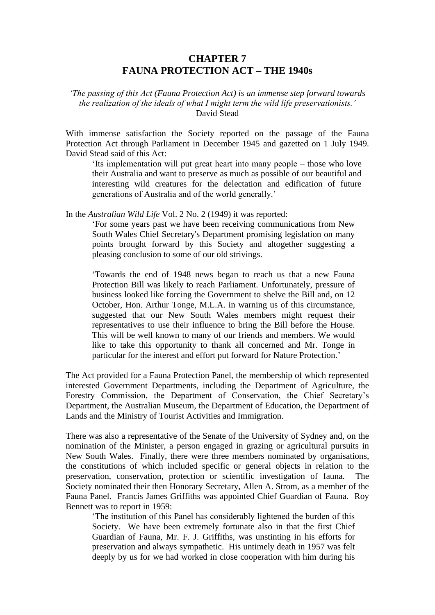# **CHAPTER 7 FAUNA PROTECTION ACT – THE 1940s**

*'The passing of this Act (Fauna Protection Act) is an immense step forward towards the realization of the ideals of what I might term the wild life preservationists.'* David Stead

With immense satisfaction the Society reported on the passage of the Fauna Protection Act through Parliament in December 1945 and gazetted on 1 July 1949. David Stead said of this Act:

'Its implementation will put great heart into many people – those who love their Australia and want to preserve as much as possible of our beautiful and interesting wild creatures for the delectation and edification of future generations of Australia and of the world generally.'

In the *Australian Wild Life* Vol. 2 No. 2 (1949) it was reported:

'For some years past we have been receiving communications from New South Wales Chief Secretary's Department promising legislation on many points brought forward by this Society and altogether suggesting a pleasing conclusion to some of our old strivings.

'Towards the end of 1948 news began to reach us that a new Fauna Protection Bill was likely to reach Parliament. Unfortunately, pressure of business looked like forcing the Government to shelve the Bill and, on 12 October, Hon. Arthur Tonge, M.L.A. in warning us of this circumstance, suggested that our New South Wales members might request their representatives to use their influence to bring the Bill before the House. This will be well known to many of our friends and members. We would like to take this opportunity to thank all concerned and Mr. Tonge in particular for the interest and effort put forward for Nature Protection.'

The Act provided for a Fauna Protection Panel, the membership of which represented interested Government Departments, including the Department of Agriculture, the Forestry Commission, the Department of Conservation, the Chief Secretary's Department, the Australian Museum, the Department of Education, the Department of Lands and the Ministry of Tourist Activities and Immigration.

There was also a representative of the Senate of the University of Sydney and, on the nomination of the Minister, a person engaged in grazing or agricultural pursuits in New South Wales. Finally, there were three members nominated by organisations, the constitutions of which included specific or general objects in relation to the preservation, conservation, protection or scientific investigation of fauna. The Society nominated their then Honorary Secretary, Allen A. Strom, as a member of the Fauna Panel. Francis James Griffiths was appointed Chief Guardian of Fauna. Roy Bennett was to report in 1959:

'The institution of this Panel has considerably lightened the burden of this Society. We have been extremely fortunate also in that the first Chief Guardian of Fauna, Mr. F. J. Griffiths, was unstinting in his efforts for preservation and always sympathetic. His untimely death in 1957 was felt deeply by us for we had worked in close cooperation with him during his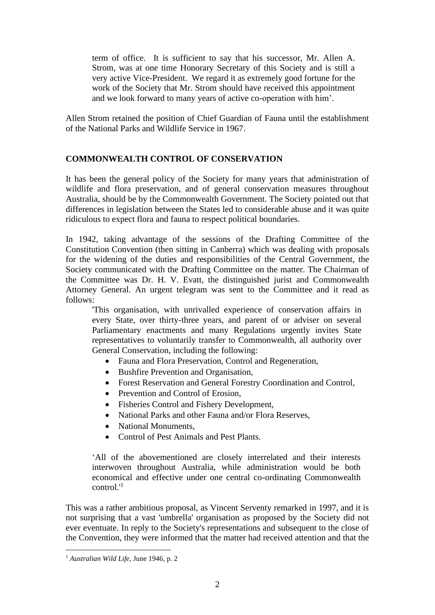term of office. It is sufficient to say that his successor, Mr. Allen A. Strom, was at one time Honorary Secretary of this Society and is still a very active Vice-President. We regard it as extremely good fortune for the work of the Society that Mr. Strom should have received this appointment and we look forward to many years of active co-operation with him'.

Allen Strom retained the position of Chief Guardian of Fauna until the establishment of the National Parks and Wildlife Service in 1967.

# **COMMONWEALTH CONTROL OF CONSERVATION**

It has been the general policy of the Society for many years that administration of wildlife and flora preservation, and of general conservation measures throughout Australia, should be by the Commonwealth Government. The Society pointed out that differences in legislation between the States led to considerable abuse and it was quite ridiculous to expect flora and fauna to respect political boundaries.

In 1942, taking advantage of the sessions of the Drafting Committee of the Constitution Convention (then sitting in Canberra) which was dealing with proposals for the widening of the duties and responsibilities of the Central Government, the Society communicated with the Drafting Committee on the matter. The Chairman of the Committee was Dr. H. V. Evatt, the distinguished jurist and Commonwealth Attorney General. An urgent telegram was sent to the Committee and it read as follows:

'This organisation, with unrivalled experience of conservation affairs in every State, over thirty-three years, and parent of or adviser on several Parliamentary enactments and many Regulations urgently invites State representatives to voluntarily transfer to Commonwealth, all authority over General Conservation, including the following:

- Fauna and Flora Preservation, Control and Regeneration,
- Bushfire Prevention and Organisation,
- Forest Reservation and General Forestry Coordination and Control,
- Prevention and Control of Erosion,
- Fisheries Control and Fishery Development,
- National Parks and other Fauna and/or Flora Reserves,
- National Monuments,
- Control of Pest Animals and Pest Plants.

'All of the abovementioned are closely interrelated and their interests interwoven throughout Australia, while administration would be both economical and effective under one central co-ordinating Commonwealth  $control<sup>1</sup>$ 

This was a rather ambitious proposal, as Vincent Serventy remarked in 1997, and it is not surprising that a vast 'umbrella' organisation as proposed by the Society did not ever eventuate. In reply to the Society's representations and subsequent to the close of the Convention, they were informed that the matter had received attention and that the

<sup>1</sup> *Australian Wild Life,* June 1946, p. 2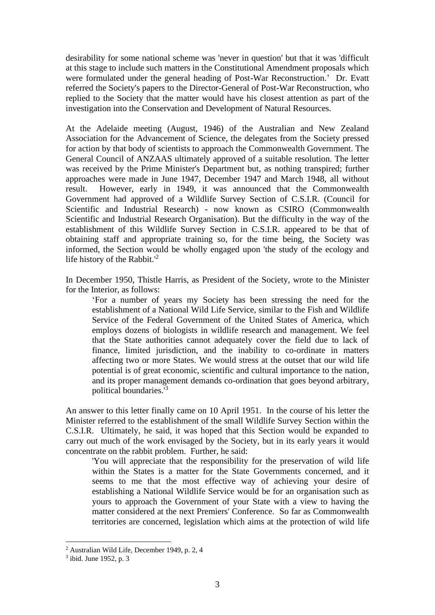desirability for some national scheme was 'never in question' but that it was 'difficult at this stage to include such matters in the Constitutional Amendment proposals which were formulated under the general heading of Post-War Reconstruction.' Dr. Evatt referred the Society's papers to the Director-General of Post-War Reconstruction, who replied to the Society that the matter would have his closest attention as part of the investigation into the Conservation and Development of Natural Resources.

At the Adelaide meeting (August, 1946) of the Australian and New Zealand Association for the Advancement of Science, the delegates from the Society pressed for action by that body of scientists to approach the Commonwealth Government. The General Council of ANZAAS ultimately approved of a suitable resolution. The letter was received by the Prime Minister's Department but, as nothing transpired; further approaches were made in June 1947, December 1947 and March 1948, all without result. However, early in 1949, it was announced that the Commonwealth Government had approved of a Wildlife Survey Section of C.S.I.R. (Council for Scientific and Industrial Research) - now known as CSIRO (Commonwealth Scientific and Industrial Research Organisation). But the difficulty in the way of the establishment of this Wildlife Survey Section in C.S.I.R. appeared to be that of obtaining staff and appropriate training so, for the time being, the Society was informed, the Section would be wholly engaged upon 'the study of the ecology and life history of the Rabbit.'<sup>2</sup>

In December 1950, Thistle Harris, as President of the Society, wrote to the Minister for the Interior, as follows:

'For a number of years my Society has been stressing the need for the establishment of a National Wild Life Service, similar to the Fish and Wildlife Service of the Federal Government of the United States of America, which employs dozens of biologists in wildlife research and management. We feel that the State authorities cannot adequately cover the field due to lack of finance, limited jurisdiction, and the inability to co-ordinate in matters affecting two or more States. We would stress at the outset that our wild life potential is of great economic, scientific and cultural importance to the nation, and its proper management demands co-ordination that goes beyond arbitrary, political boundaries.'<sup>3</sup>

An answer to this letter finally came on 10 April 1951. In the course of his letter the Minister referred to the establishment of the small Wildlife Survey Section within the C.S.I.R. Ultimately, he said, it was hoped that this Section would be expanded to carry out much of the work envisaged by the Society, but in its early years it would concentrate on the rabbit problem. Further, he said:

'You will appreciate that the responsibility for the preservation of wild life within the States is a matter for the State Governments concerned, and it seems to me that the most effective way of achieving your desire of establishing a National Wildlife Service would be for an organisation such as yours to approach the Government of your State with a view to having the matter considered at the next Premiers' Conference. So far as Commonwealth territories are concerned, legislation which aims at the protection of wild life

<sup>2</sup> Australian Wild Life, December 1949, p. 2, 4

<sup>3</sup> ibid. June 1952, p. 3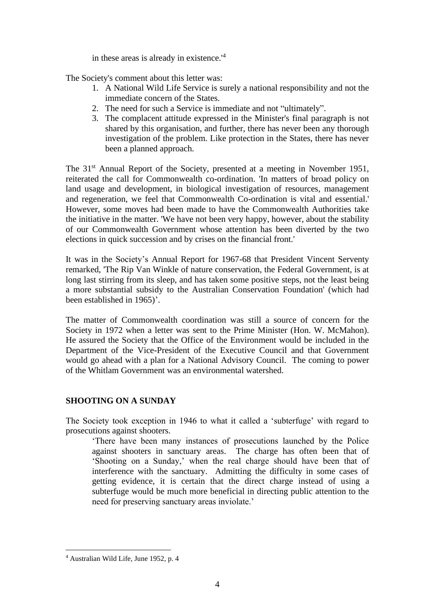in these areas is already in existence.'<sup>4</sup>

The Society's comment about this letter was:

- 1. A National Wild Life Service is surely a national responsibility and not the immediate concern of the States.
- 2. The need for such a Service is immediate and not "ultimately".
- 3. The complacent attitude expressed in the Minister's final paragraph is not shared by this organisation, and further, there has never been any thorough investigation of the problem. Like protection in the States, there has never been a planned approach.

The 31<sup>st</sup> Annual Report of the Society, presented at a meeting in November 1951, reiterated the call for Commonwealth co-ordination. 'In matters of broad policy on land usage and development, in biological investigation of resources, management and regeneration, we feel that Commonwealth Co-ordination is vital and essential.' However, some moves had been made to have the Commonwealth Authorities take the initiative in the matter. 'We have not been very happy, however, about the stability of our Commonwealth Government whose attention has been diverted by the two elections in quick succession and by crises on the financial front.'

It was in the Society's Annual Report for 1967-68 that President Vincent Serventy remarked, 'The Rip Van Winkle of nature conservation, the Federal Government, is at long last stirring from its sleep, and has taken some positive steps, not the least being a more substantial subsidy to the Australian Conservation Foundation' (which had been established in 1965)'.

The matter of Commonwealth coordination was still a source of concern for the Society in 1972 when a letter was sent to the Prime Minister (Hon. W. McMahon). He assured the Society that the Office of the Environment would be included in the Department of the Vice-President of the Executive Council and that Government would go ahead with a plan for a National Advisory Council. The coming to power of the Whitlam Government was an environmental watershed.

# **SHOOTING ON A SUNDAY**

The Society took exception in 1946 to what it called a 'subterfuge' with regard to prosecutions against shooters.

'There have been many instances of prosecutions launched by the Police against shooters in sanctuary areas. The charge has often been that of 'Shooting on a Sunday,' when the real charge should have been that of interference with the sanctuary. Admitting the difficulty in some cases of getting evidence, it is certain that the direct charge instead of using a subterfuge would be much more beneficial in directing public attention to the need for preserving sanctuary areas inviolate.'

<sup>4</sup> Australian Wild Life, June 1952, p. 4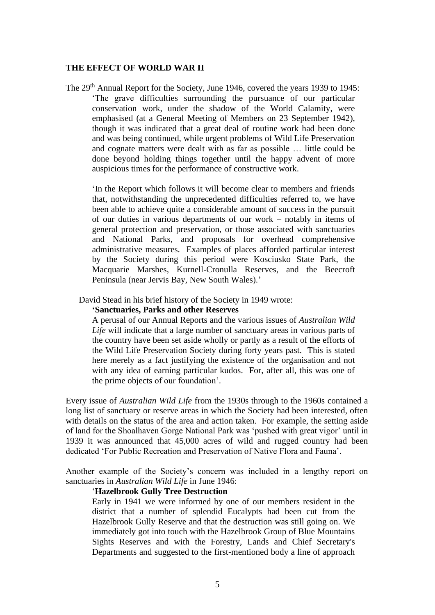#### **THE EFFECT OF WORLD WAR II**

The 29<sup>th</sup> Annual Report for the Society, June 1946, covered the years 1939 to 1945: 'The grave difficulties surrounding the pursuance of our particular conservation work, under the shadow of the World Calamity, were emphasised (at a General Meeting of Members on 23 September 1942), though it was indicated that a great deal of routine work had been done and was being continued, while urgent problems of Wild Life Preservation and cognate matters were dealt with as far as possible … little could be done beyond holding things together until the happy advent of more auspicious times for the performance of constructive work.

'In the Report which follows it will become clear to members and friends that, notwithstanding the unprecedented difficulties referred to, we have been able to achieve quite a considerable amount of success in the pursuit of our duties in various departments of our work – notably in items of general protection and preservation, or those associated with sanctuaries and National Parks, and proposals for overhead comprehensive administrative measures. Examples of places afforded particular interest by the Society during this period were Kosciusko State Park, the Macquarie Marshes, Kurnell-Cronulla Reserves, and the Beecroft Peninsula (near Jervis Bay, New South Wales).'

David Stead in his brief history of the Society in 1949 wrote:

### **'Sanctuaries, Parks and other Reserves**

A perusal of our Annual Reports and the various issues of *Australian Wild Life* will indicate that a large number of sanctuary areas in various parts of the country have been set aside wholly or partly as a result of the efforts of the Wild Life Preservation Society during forty years past. This is stated here merely as a fact justifying the existence of the organisation and not with any idea of earning particular kudos. For, after all, this was one of the prime objects of our foundation'.

Every issue of *Australian Wild Life* from the 1930s through to the 1960s contained a long list of sanctuary or reserve areas in which the Society had been interested, often with details on the status of the area and action taken. For example, the setting aside of land for the Shoalhaven Gorge National Park was 'pushed with great vigor' until in 1939 it was announced that 45,000 acres of wild and rugged country had been dedicated 'For Public Recreation and Preservation of Native Flora and Fauna'.

Another example of the Society's concern was included in a lengthy report on sanctuaries in *Australian Wild Life* in June 1946:

### '**Hazelbrook Gully Tree Destruction**

Early in 1941 we were informed by one of our members resident in the district that a number of splendid Eucalypts had been cut from the Hazelbrook Gully Reserve and that the destruction was still going on. We immediately got into touch with the Hazelbrook Group of Blue Mountains Sights Reserves and with the Forestry, Lands and Chief Secretary's Departments and suggested to the first-mentioned body a line of approach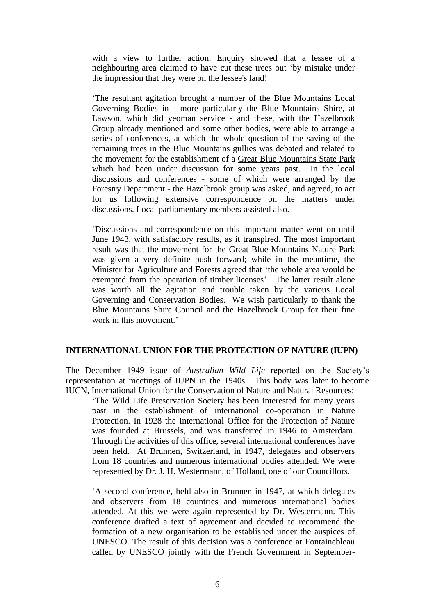with a view to further action. Enquiry showed that a lessee of a neighbouring area claimed to have cut these trees out 'by mistake under the impression that they were on the lessee's land!

'The resultant agitation brought a number of the Blue Mountains Local Governing Bodies in - more particularly the Blue Mountains Shire, at Lawson, which did yeoman service - and these, with the Hazelbrook Group already mentioned and some other bodies, were able to arrange a series of conferences, at which the whole question of the saving of the remaining trees in the Blue Mountains gullies was debated and related to the movement for the establishment of a Great Blue Mountains State Park which had been under discussion for some years past. In the local discussions and conferences - some of which were arranged by the Forestry Department - the Hazelbrook group was asked, and agreed, to act for us following extensive correspondence on the matters under discussions. Local parliamentary members assisted also.

'Discussions and correspondence on this important matter went on until June 1943, with satisfactory results, as it transpired. The most important result was that the movement for the Great Blue Mountains Nature Park was given a very definite push forward; while in the meantime, the Minister for Agriculture and Forests agreed that 'the whole area would be exempted from the operation of timber licenses'. The latter result alone was worth all the agitation and trouble taken by the various Local Governing and Conservation Bodies. We wish particularly to thank the Blue Mountains Shire Council and the Hazelbrook Group for their fine work in this movement.'

## **INTERNATIONAL UNION FOR THE PROTECTION OF NATURE (IUPN)**

The December 1949 issue of *Australian Wild Life* reported on the Society's representation at meetings of IUPN in the 1940s. This body was later to become IUCN, International Union for the Conservation of Nature and Natural Resources:

'The Wild Life Preservation Society has been interested for many years past in the establishment of international co-operation in Nature Protection. In 1928 the International Office for the Protection of Nature was founded at Brussels, and was transferred in 1946 to Amsterdam. Through the activities of this office, several international conferences have been held. At Brunnen, Switzerland, in 1947, delegates and observers from 18 countries and numerous international bodies attended. We were represented by Dr. J. H. Westermann, of Holland, one of our Councillors.

'A second conference, held also in Brunnen in 1947, at which delegates and observers from 18 countries and numerous international bodies attended. At this we were again represented by Dr. Westermann. This conference drafted a text of agreement and decided to recommend the formation of a new organisation to be established under the auspices of UNESCO. The result of this decision was a conference at Fontainebleau called by UNESCO jointly with the French Government in September-